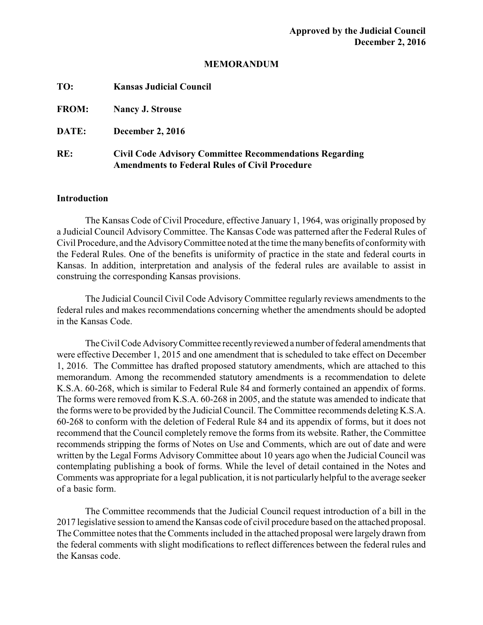## **MEMORANDUM**

| TO:          | <b>Kansas Judicial Council</b>                                                                                          |
|--------------|-------------------------------------------------------------------------------------------------------------------------|
| <b>FROM:</b> | <b>Nancy J. Strouse</b>                                                                                                 |
| DATE:        | <b>December 2, 2016</b>                                                                                                 |
| RE:          | <b>Civil Code Advisory Committee Recommendations Regarding</b><br><b>Amendments to Federal Rules of Civil Procedure</b> |

## **Introduction**

The Kansas Code of Civil Procedure, effective January 1, 1964, was originally proposed by a Judicial Council Advisory Committee. The Kansas Code was patterned after the Federal Rules of Civil Procedure, and the AdvisoryCommittee noted at the time the manybenefits of conformitywith the Federal Rules. One of the benefits is uniformity of practice in the state and federal courts in Kansas. In addition, interpretation and analysis of the federal rules are available to assist in construing the corresponding Kansas provisions.

The Judicial Council Civil Code Advisory Committee regularly reviews amendments to the federal rules and makes recommendations concerning whether the amendments should be adopted in the Kansas Code.

TheCivil Code AdvisoryCommittee recentlyreviewed a number of federal amendments that were effective December 1, 2015 and one amendment that is scheduled to take effect on December 1, 2016. The Committee has drafted proposed statutory amendments, which are attached to this memorandum. Among the recommended statutory amendments is a recommendation to delete K.S.A. 60-268, which is similar to Federal Rule 84 and formerly contained an appendix of forms. The forms were removed from K.S.A. 60-268 in 2005, and the statute was amended to indicate that the forms were to be provided by the Judicial Council. The Committee recommends deleting K.S.A. 60-268 to conform with the deletion of Federal Rule 84 and its appendix of forms, but it does not recommend that the Council completely remove the forms from its website. Rather, the Committee recommends stripping the forms of Notes on Use and Comments, which are out of date and were written by the Legal Forms Advisory Committee about 10 years ago when the Judicial Council was contemplating publishing a book of forms. While the level of detail contained in the Notes and Comments was appropriate for a legal publication, it is not particularly helpful to the average seeker of a basic form.

The Committee recommends that the Judicial Council request introduction of a bill in the 2017 legislative session to amend the Kansas code of civil procedure based on the attached proposal. The Committee notes that the Comments included in the attached proposal were largely drawn from the federal comments with slight modifications to reflect differences between the federal rules and the Kansas code.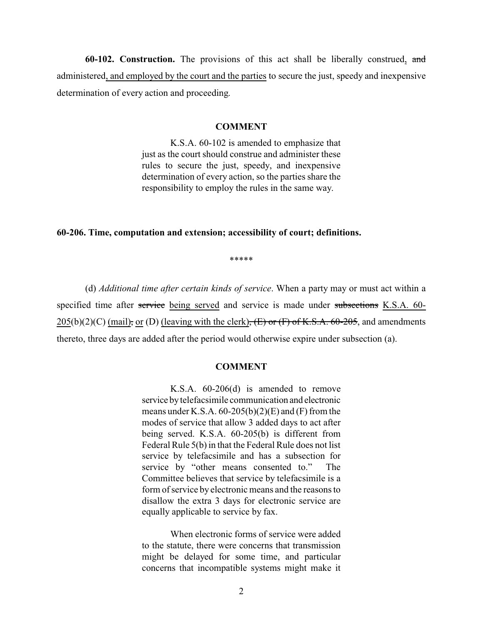**60-102. Construction.** The provisions of this act shall be liberally construed, and administered, and employed by the court and the parties to secure the just, speedy and inexpensive determination of every action and proceeding.

### **COMMENT**

K.S.A. 60-102 is amended to emphasize that just as the court should construe and administer these rules to secure the just, speedy, and inexpensive determination of every action, so the parties share the responsibility to employ the rules in the same way.

## **60-206. Time, computation and extension; accessibility of court; definitions.**

\*\*\*\*\*

(d) *Additional time after certain kinds of service*. When a party may or must act within a specified time after service being served and service is made under subsections K.S.A. 60- $205(b)(2)(C)$  (mail), or (D) (leaving with the clerk),  $(E)$  or  $(F)$  of K.S.A. 60-205, and amendments thereto, three days are added after the period would otherwise expire under subsection (a).

### **COMMENT**

K.S.A. 60-206(d) is amended to remove service bytelefacsimile communication and electronic means under K.S.A.  $60-205(b)(2)(E)$  and  $(F)$  from the modes of service that allow 3 added days to act after being served. K.S.A. 60-205(b) is different from Federal Rule 5(b) in that the Federal Rule does not list service by telefacsimile and has a subsection for service by "other means consented to." The Committee believes that service by telefacsimile is a form of service by electronic means and the reasons to disallow the extra 3 days for electronic service are equally applicable to service by fax.

When electronic forms of service were added to the statute, there were concerns that transmission might be delayed for some time, and particular concerns that incompatible systems might make it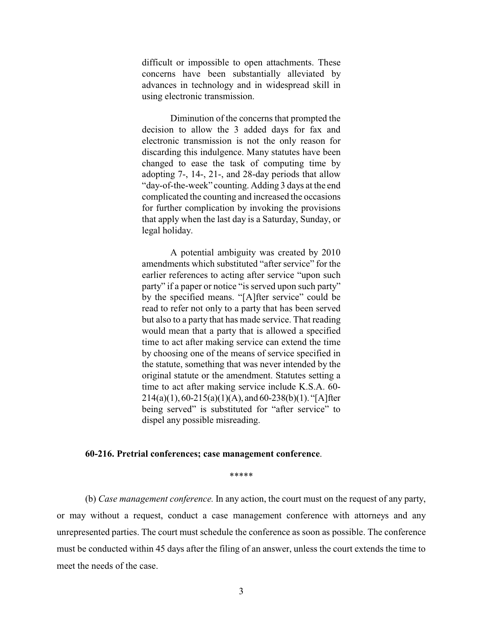difficult or impossible to open attachments. These concerns have been substantially alleviated by advances in technology and in widespread skill in using electronic transmission.

Diminution of the concerns that prompted the decision to allow the 3 added days for fax and electronic transmission is not the only reason for discarding this indulgence. Many statutes have been changed to ease the task of computing time by adopting 7-, 14-, 21-, and 28-day periods that allow "day-of-the-week" counting. Adding 3 days at the end complicated the counting and increased the occasions for further complication by invoking the provisions that apply when the last day is a Saturday, Sunday, or legal holiday.

A potential ambiguity was created by 2010 amendments which substituted "after service" for the earlier references to acting after service "upon such party" if a paper or notice "is served upon such party" by the specified means. "[A]fter service" could be read to refer not only to a party that has been served but also to a party that has made service. That reading would mean that a party that is allowed a specified time to act after making service can extend the time by choosing one of the means of service specified in the statute, something that was never intended by the original statute or the amendment. Statutes setting a time to act after making service include K.S.A. 60-  $214(a)(1), 60-215(a)(1)(A),$  and  $60-238(b)(1)$ . "[A]fter being served" is substituted for "after service" to dispel any possible misreading.

#### **60-216. Pretrial conferences; case management conference**.

\*\*\*\*\*

(b) *Case management conference.* In any action, the court must on the request of any party, or may without a request, conduct a case management conference with attorneys and any unrepresented parties. The court must schedule the conference as soon as possible. The conference must be conducted within 45 days after the filing of an answer, unless the court extends the time to meet the needs of the case.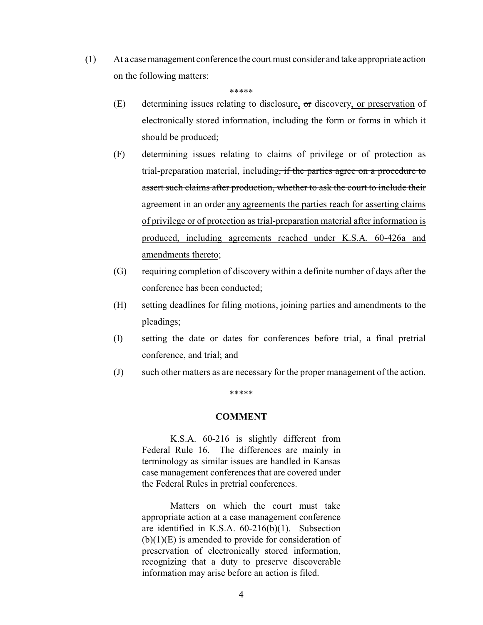(1) At a case management conference the court must consider and take appropriate action on the following matters:

\*\*\*\*\*

- (E) determining issues relating to disclosure,  $\sigma$ r discovery, or preservation of electronically stored information, including the form or forms in which it should be produced;
- (F) determining issues relating to claims of privilege or of protection as trial-preparation material, including, if the parties agree on a procedure to assert such claims after production, whether to ask the court to include their agreement in an order any agreements the parties reach for asserting claims of privilege or of protection as trial-preparation material after information is produced, including agreements reached under K.S.A. 60-426a and amendments thereto;
- (G) requiring completion of discovery within a definite number of days after the conference has been conducted;
- (H) setting deadlines for filing motions, joining parties and amendments to the pleadings;
- (I) setting the date or dates for conferences before trial, a final pretrial conference, and trial; and
- (J) such other matters as are necessary for the proper management of the action.

### \*\*\*\*\*

### **COMMENT**

K.S.A. 60-216 is slightly different from Federal Rule 16. The differences are mainly in terminology as similar issues are handled in Kansas case management conferences that are covered under the Federal Rules in pretrial conferences.

Matters on which the court must take appropriate action at a case management conference are identified in K.S.A. 60-216(b)(1). Subsection  $(b)(1)(E)$  is amended to provide for consideration of preservation of electronically stored information, recognizing that a duty to preserve discoverable information may arise before an action is filed.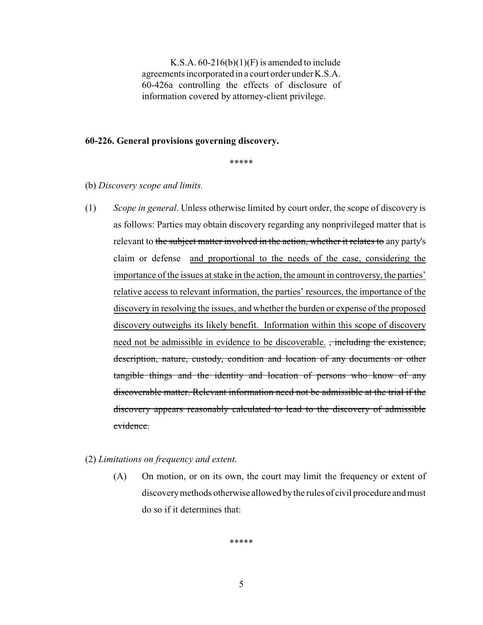K.S.A.  $60-216(b)(1)(F)$  is amended to include agreements incorporated in a court order under K.S.A. 60-426a controlling the effects of disclosure of information covered by attorney-client privilege.

### **60-226. General provisions governing discovery.**

\*\*\*\*\*

- (b) *Discovery scope and limits.*
- (1) *Scope in general*. Unless otherwise limited by court order, the scope of discovery is as follows: Parties may obtain discovery regarding any nonprivileged matter that is relevant to the subject matter involved in the action, whether it relates to any party's claim or defense and proportional to the needs of the case, considering the importance of the issues at stake in the action, the amount in controversy, the parties' relative access to relevant information, the parties' resources, the importance of the discovery in resolving the issues, and whether the burden or expense of the proposed discovery outweighs its likely benefit. Information within this scope of discovery need not be admissible in evidence to be discoverable. <del>, including the existence,</del> description, nature, custody, condition and location of any documents or other tangible things and the identity and location of persons who know of any discoverable matter. Relevant information need not be admissible at the trial if the discovery appears reasonably calculated to lead to the discovery of admissible evidence.
- (2) *Limitations on frequency and extent*.
	- (A) On motion, or on its own, the court may limit the frequency or extent of discoverymethods otherwise allowed bythe rules of civil procedure and must do so if it determines that:

\*\*\*\*\*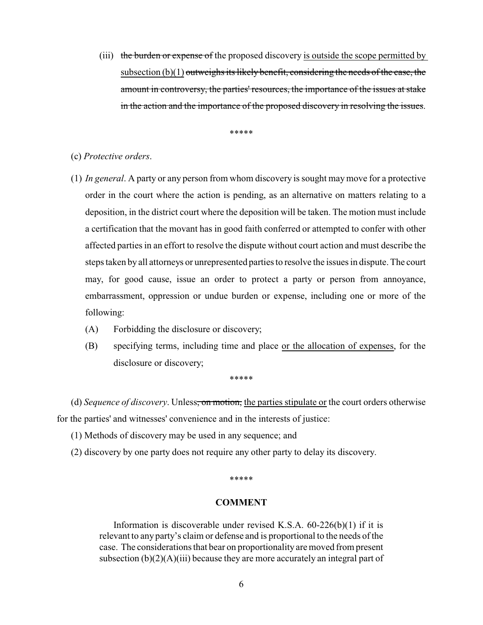(iii) the burden or expense of the proposed discovery is outside the scope permitted by subsection  $(b)(1)$  outweighs its likely benefit, considering the needs of the case, the amount in controversy, the parties' resources, the importance of the issues at stake in the action and the importance of the proposed discovery in resolving the issues.

\*\*\*\*\*

## (c) *Protective orders*.

- (1) *In general*. A party or any person from whom discovery is sought may move for a protective order in the court where the action is pending, as an alternative on matters relating to a deposition, in the district court where the deposition will be taken. The motion must include a certification that the movant has in good faith conferred or attempted to confer with other affected parties in an effort to resolve the dispute without court action and must describe the steps taken by all attorneys or unrepresented parties to resolve the issues in dispute. The court may, for good cause, issue an order to protect a party or person from annoyance, embarrassment, oppression or undue burden or expense, including one or more of the following:
	- (A) Forbidding the disclosure or discovery;
	- (B) specifying terms, including time and place or the allocation of expenses, for the disclosure or discovery;

\*\*\*\*\*

(d) *Sequence of discovery*. Unless, on motion, the parties stipulate or the court orders otherwise for the parties' and witnesses' convenience and in the interests of justice:

- (1) Methods of discovery may be used in any sequence; and
- (2) discovery by one party does not require any other party to delay its discovery.

\*\*\*\*\*

## **COMMENT**

Information is discoverable under revised K.S.A.  $60-226(b)(1)$  if it is relevant to any party's claim or defense and is proportional to the needs of the case. The considerations that bear on proportionality are moved from present subsection  $(b)(2)(A)(iii)$  because they are more accurately an integral part of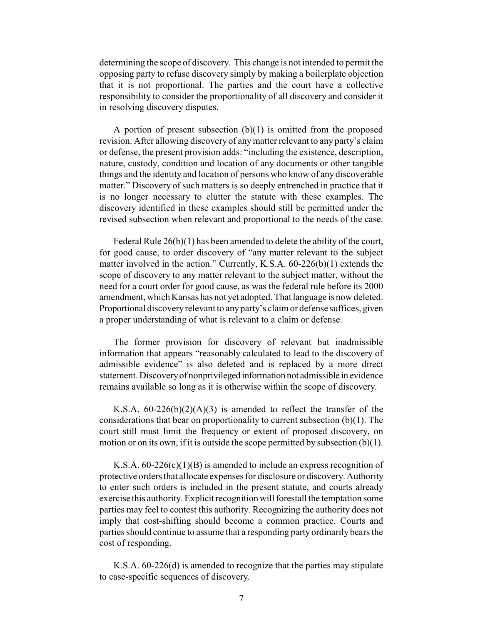determining the scope of discovery. This change is not intended to permit the opposing party to refuse discovery simply by making a boilerplate objection that it is not proportional. The parties and the court have a collective responsibility to consider the proportionality of all discovery and consider it in resolving discovery disputes.

A portion of present subsection (b)(1) is omitted from the proposed revision. After allowing discovery of anymatter relevant to any party's claim or defense, the present provision adds: "including the existence, description, nature, custody, condition and location of any documents or other tangible things and the identity and location of persons who know of any discoverable matter." Discovery of such matters is so deeply entrenched in practice that it is no longer necessary to clutter the statute with these examples. The discovery identified in these examples should still be permitted under the revised subsection when relevant and proportional to the needs of the case.

Federal Rule 26(b)(1) has been amended to delete the ability of the court, for good cause, to order discovery of "any matter relevant to the subject matter involved in the action." Currently, K.S.A. 60-226(b)(1) extends the scope of discovery to any matter relevant to the subject matter, without the need for a court order for good cause, as was the federal rule before its 2000 amendment, which Kansas has not yet adopted. That language is now deleted. Proportional discoveryrelevant to anyparty's claim or defense suffices, given a proper understanding of what is relevant to a claim or defense.

The former provision for discovery of relevant but inadmissible information that appears "reasonably calculated to lead to the discovery of admissible evidence" is also deleted and is replaced by a more direct statement. Discoveryof nonprivileged information not admissible in evidence remains available so long as it is otherwise within the scope of discovery.

K.S.A.  $60-226(b)(2)(A)(3)$  is amended to reflect the transfer of the considerations that bear on proportionality to current subsection (b)(1). The court still must limit the frequency or extent of proposed discovery, on motion or on its own, if it is outside the scope permitted by subsection  $(b)(1)$ .

K.S.A.  $60-226(c)(1)(B)$  is amended to include an express recognition of protective orders that allocate expenses for disclosure or discovery. Authority to enter such orders is included in the present statute, and courts already exercise this authority. Explicit recognition will forestall the temptation some parties may feel to contest this authority. Recognizing the authority does not imply that cost-shifting should become a common practice. Courts and parties should continue to assume that a responding party ordinarily bears the cost of responding.

K.S.A. 60-226(d) is amended to recognize that the parties may stipulate to case-specific sequences of discovery.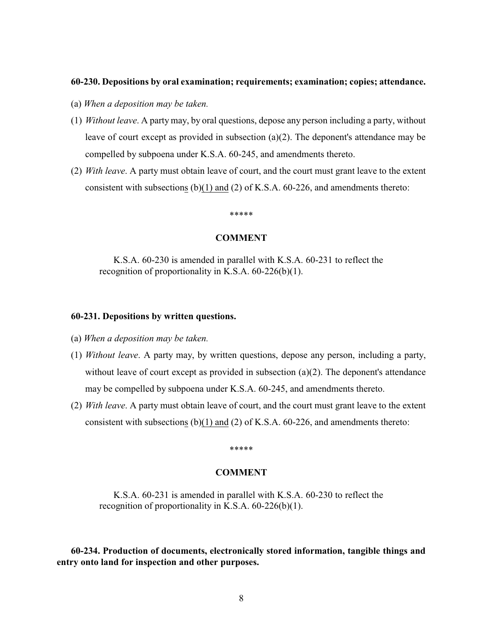#### **60-230. Depositions by oral examination; requirements; examination; copies; attendance.**

- (a) *When a deposition may be taken.*
- (1) *Without leave*. A party may, by oral questions, depose any person including a party, without leave of court except as provided in subsection (a)(2). The deponent's attendance may be compelled by subpoena under K.S.A. 60-245, and amendments thereto.
- (2) *With leave*. A party must obtain leave of court, and the court must grant leave to the extent consistent with subsections (b)(1) and (2) of K.S.A. 60-226, and amendments thereto:

## \*\*\*\*\*

#### **COMMENT**

K.S.A. 60-230 is amended in parallel with K.S.A. 60-231 to reflect the recognition of proportionality in K.S.A. 60-226(b)(1).

## **60-231. Depositions by written questions.**

- (a) *When a deposition may be taken.*
- (1) *Without leave*. A party may, by written questions, depose any person, including a party, without leave of court except as provided in subsection (a)(2). The deponent's attendance may be compelled by subpoena under K.S.A. 60-245, and amendments thereto.
- (2) *With leave*. A party must obtain leave of court, and the court must grant leave to the extent consistent with subsections (b)(1) and (2) of K.S.A. 60-226, and amendments thereto:

#### \*\*\*\*\*

## **COMMENT**

K.S.A. 60-231 is amended in parallel with K.S.A. 60-230 to reflect the recognition of proportionality in K.S.A. 60-226(b)(1).

**60-234. Production of documents, electronically stored information, tangible things and entry onto land for inspection and other purposes.**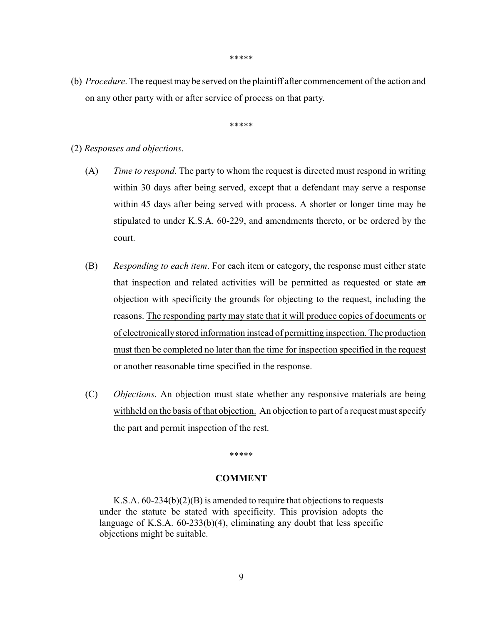\*\*\*\*\*

(b) *Procedure*. The request may be served on the plaintiff after commencement of the action and on any other party with or after service of process on that party.

\*\*\*\*\*

- (2) *Responses and objections*.
	- (A) *Time to respond*. The party to whom the request is directed must respond in writing within 30 days after being served, except that a defendant may serve a response within 45 days after being served with process. A shorter or longer time may be stipulated to under K.S.A. 60-229, and amendments thereto, or be ordered by the court.
	- (B) *Responding to each item*. For each item or category, the response must either state that inspection and related activities will be permitted as requested or state an objection with specificity the grounds for objecting to the request, including the reasons. The responding party may state that it will produce copies of documents or of electronicallystored information instead of permitting inspection. The production must then be completed no later than the time for inspection specified in the request or another reasonable time specified in the response.
	- (C) *Objections*. An objection must state whether any responsive materials are being withheld on the basis of that objection. An objection to part of a request must specify the part and permit inspection of the rest.

#### \*\*\*\*\*

# **COMMENT**

K.S.A. 60-234(b)(2)(B) is amended to require that objections to requests under the statute be stated with specificity. This provision adopts the language of K.S.A. 60-233(b)(4), eliminating any doubt that less specific objections might be suitable.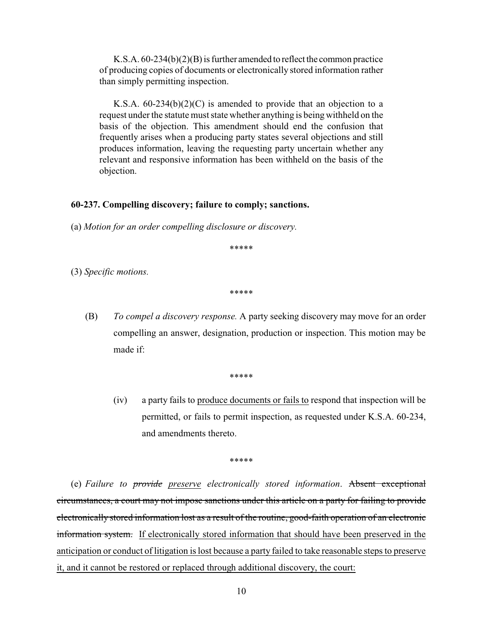K.S.A. 60-234(b)(2)(B) is further amended to reflect the common practice of producing copies of documents or electronically stored information rather than simply permitting inspection.

K.S.A.  $60-234(b)(2)(C)$  is amended to provide that an objection to a request under the statute must state whether anything is being withheld on the basis of the objection. This amendment should end the confusion that frequently arises when a producing party states several objections and still produces information, leaving the requesting party uncertain whether any relevant and responsive information has been withheld on the basis of the objection.

## **60-237. Compelling discovery; failure to comply; sanctions.**

(a) *Motion for an order compelling disclosure or discovery.*

\*\*\*\*\*

(3) *Specific motions.*

\*\*\*\*\*

(B) *To compel a discovery response.* A party seeking discovery may move for an order compelling an answer, designation, production or inspection. This motion may be made if:

\*\*\*\*\*

(iv) a party fails to produce documents or fails to respond that inspection will be permitted, or fails to permit inspection, as requested under K.S.A. 60-234, and amendments thereto.

\*\*\*\*\*

(e) *Failure to provide preserve electronically stored information*. Absent exceptional circumstances, a court may not impose sanctions under this article on a party for failing to provide electronically stored information lost as a result of the routine, good-faith operation of an electronic information system. If electronically stored information that should have been preserved in the anticipation or conduct of litigation is lost because a party failed to take reasonable steps to preserve it, and it cannot be restored or replaced through additional discovery, the court: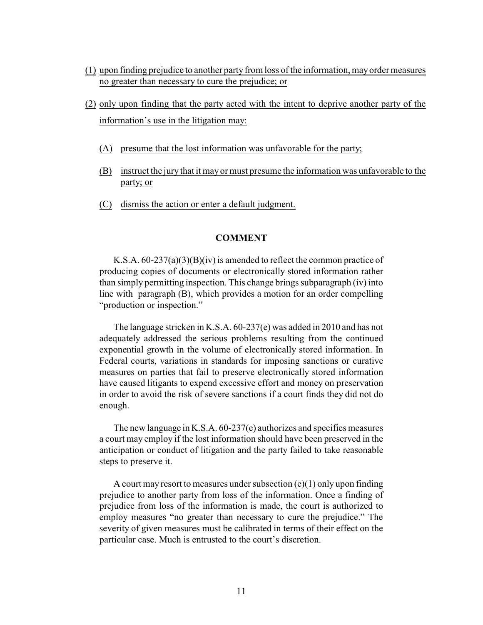- (1) upon finding prejudice to another party from loss of the information, mayorder measures no greater than necessary to cure the prejudice; or
- (2) only upon finding that the party acted with the intent to deprive another party of the information's use in the litigation may:
	- (A) presume that the lost information was unfavorable for the party;
	- (B) instruct the jury that it may or must presume the information was unfavorable to the party; or
	- (C) dismiss the action or enter a default judgment.

### **COMMENT**

K.S.A. 60-237(a)(3)(B)(iv) is amended to reflect the common practice of producing copies of documents or electronically stored information rather than simply permitting inspection. This change brings subparagraph (iv) into line with paragraph (B), which provides a motion for an order compelling "production or inspection."

The language stricken in K.S.A. 60-237(e) was added in 2010 and has not adequately addressed the serious problems resulting from the continued exponential growth in the volume of electronically stored information. In Federal courts, variations in standards for imposing sanctions or curative measures on parties that fail to preserve electronically stored information have caused litigants to expend excessive effort and money on preservation in order to avoid the risk of severe sanctions if a court finds they did not do enough.

The new language in K.S.A. 60-237(e) authorizes and specifies measures a court may employ if the lost information should have been preserved in the anticipation or conduct of litigation and the party failed to take reasonable steps to preserve it.

A court may resort to measures under subsection (e)(1) only upon finding prejudice to another party from loss of the information. Once a finding of prejudice from loss of the information is made, the court is authorized to employ measures "no greater than necessary to cure the prejudice." The severity of given measures must be calibrated in terms of their effect on the particular case. Much is entrusted to the court's discretion.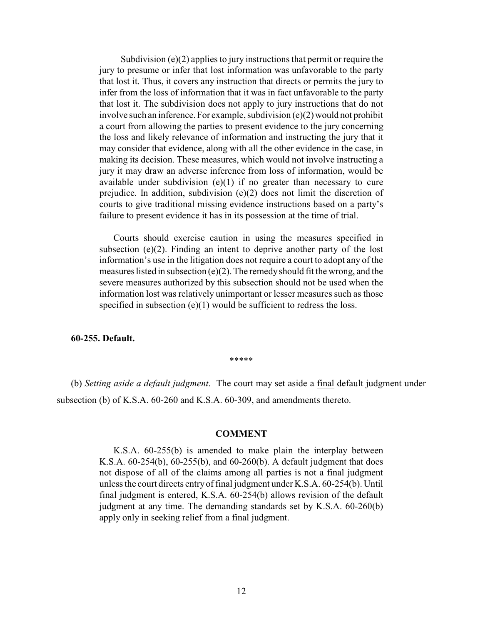Subdivision (e)(2) applies to jury instructions that permit or require the jury to presume or infer that lost information was unfavorable to the party that lost it. Thus, it covers any instruction that directs or permits the jury to infer from the loss of information that it was in fact unfavorable to the party that lost it. The subdivision does not apply to jury instructions that do not involve such an inference. For example, subdivision (e)(2) would not prohibit a court from allowing the parties to present evidence to the jury concerning the loss and likely relevance of information and instructing the jury that it may consider that evidence, along with all the other evidence in the case, in making its decision. These measures, which would not involve instructing a jury it may draw an adverse inference from loss of information, would be available under subdivision  $(e)(1)$  if no greater than necessary to cure prejudice. In addition, subdivision (e)(2) does not limit the discretion of courts to give traditional missing evidence instructions based on a party's failure to present evidence it has in its possession at the time of trial.

Courts should exercise caution in using the measures specified in subsection (e)(2). Finding an intent to deprive another party of the lost information's use in the litigation does not require a court to adopt any of the measures listed in subsection  $(e)(2)$ . The remedy should fit the wrong, and the severe measures authorized by this subsection should not be used when the information lost was relatively unimportant or lesser measures such as those specified in subsection  $(e)(1)$  would be sufficient to redress the loss.

## **60-255. Default.**

\*\*\*\*\*

(b) *Setting aside a default judgment*. The court may set aside a final default judgment under subsection (b) of K.S.A. 60-260 and K.S.A. 60-309, and amendments thereto.

## **COMMENT**

K.S.A. 60-255(b) is amended to make plain the interplay between K.S.A. 60-254(b), 60-255(b), and 60-260(b). A default judgment that does not dispose of all of the claims among all parties is not a final judgment unless the court directs entry of final judgment under K.S.A. 60-254(b). Until final judgment is entered, K.S.A. 60-254(b) allows revision of the default judgment at any time. The demanding standards set by K.S.A. 60-260(b) apply only in seeking relief from a final judgment.